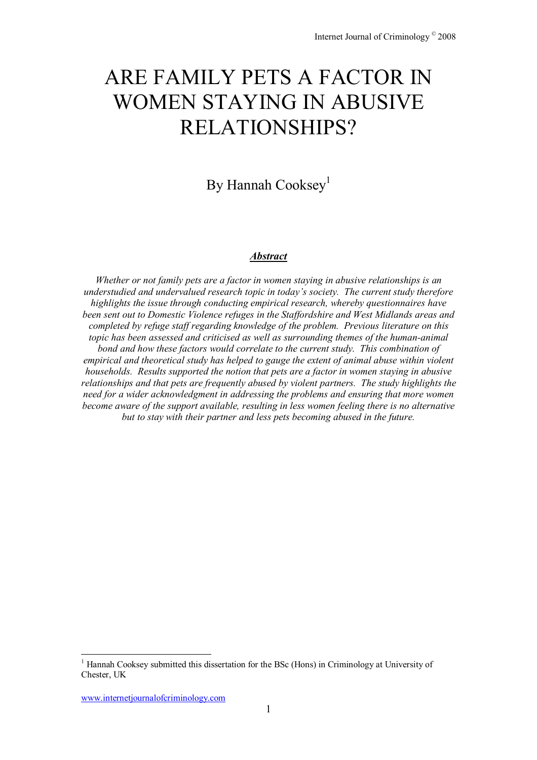# ARE FAMILY PETS A FACTOR IN WOMEN STAYING IN ABUSIVE RELATIONSHIPS?

By Hannah Cooksey<sup>1</sup>

## *Abstract*

*Whether or not family pets are a factor in women staying in abusive relationships is an understudied and undervalued research topic in todayís society. The current study therefore highlights the issue through conducting empirical research, whereby questionnaires have been sent out to Domestic Violence refuges in the Staffordshire and West Midlands areas and completed by refuge staff regarding knowledge of the problem. Previous literature on this topic has been assessed and criticised as well as surrounding themes of the human-animal bond and how these factors would correlate to the current study. This combination of empirical and theoretical study has helped to gauge the extent of animal abuse within violent households. Results supported the notion that pets are a factor in women staying in abusive relationships and that pets are frequently abused by violent partners. The study highlights the need for a wider acknowledgment in addressing the problems and ensuring that more women become aware of the support available, resulting in less women feeling there is no alternative but to stay with their partner and less pets becoming abused in the future.* 

 $\overline{a}$ <sup>1</sup> Hannah Cooksey submitted this dissertation for the BSc (Hons) in Criminology at University of Chester, UK

www.internetjournalofcriminology.com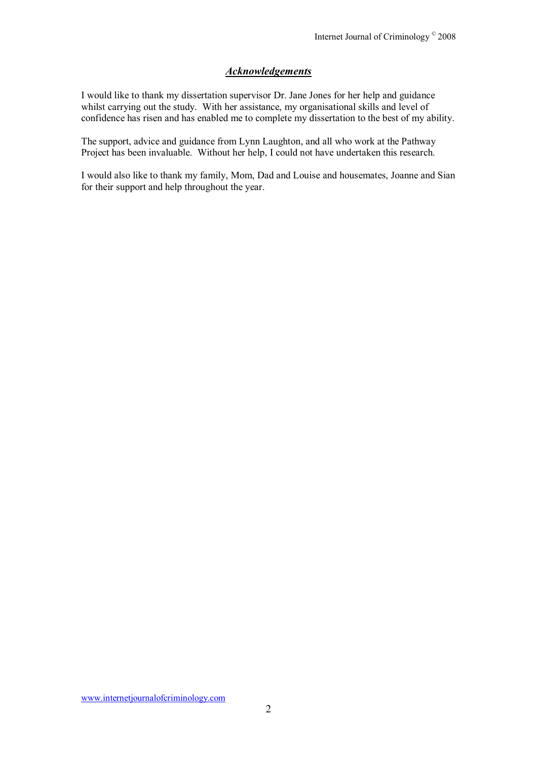## *Acknowledgements*

I would like to thank my dissertation supervisor Dr. Jane Jones for her help and guidance whilst carrying out the study. With her assistance, my organisational skills and level of confidence has risen and has enabled me to complete my dissertation to the best of my ability.

The support, advice and guidance from Lynn Laughton, and all who work at the Pathway Project has been invaluable. Without her help, I could not have undertaken this research.

I would also like to thank my family, Mom, Dad and Louise and housemates, Joanne and Sian for their support and help throughout the year.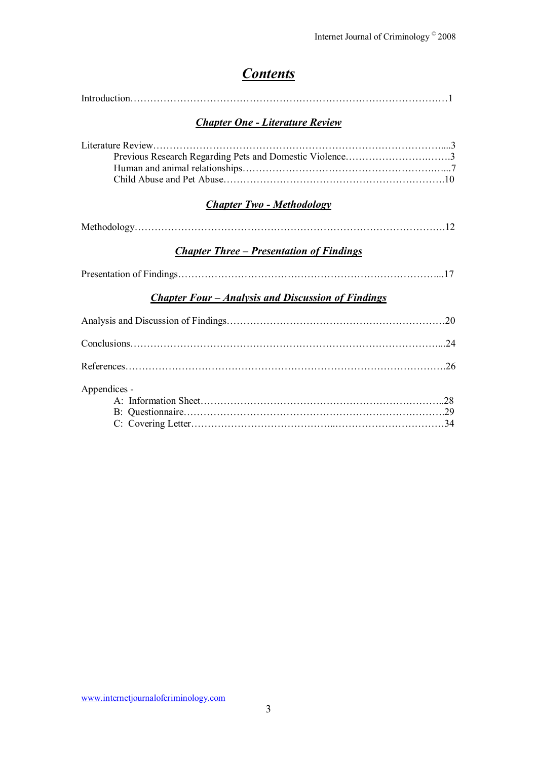# *Contents*

## *Chapter One - Literature Review*

## *Chapter Two - Methodology*

|--|--|--|

## *Chapter Three - Presentation of Findings*

|--|--|

## *Chapter Four – Analysis and Discussion of Findings*

| Appendices - |  |
|--------------|--|
|              |  |
|              |  |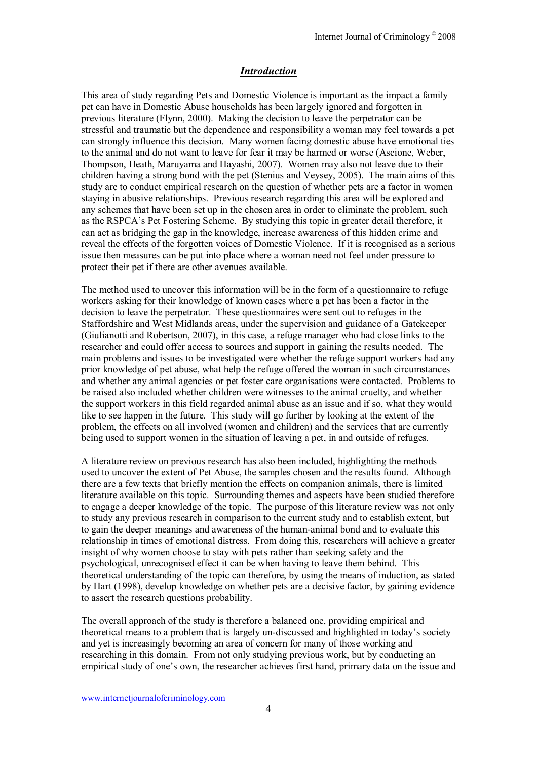## *Introduction*

This area of study regarding Pets and Domestic Violence is important as the impact a family pet can have in Domestic Abuse households has been largely ignored and forgotten in previous literature (Flynn, 2000). Making the decision to leave the perpetrator can be stressful and traumatic but the dependence and responsibility a woman may feel towards a pet can strongly influence this decision. Many women facing domestic abuse have emotional ties to the animal and do not want to leave for fear it may be harmed or worse (Ascione, Weber, Thompson, Heath, Maruyama and Hayashi, 2007). Women may also not leave due to their children having a strong bond with the pet (Stenius and Veysey, 2005). The main aims of this study are to conduct empirical research on the question of whether pets are a factor in women staying in abusive relationships. Previous research regarding this area will be explored and any schemes that have been set up in the chosen area in order to eliminate the problem, such as the RSPCA's Pet Fostering Scheme. By studying this topic in greater detail therefore, it can act as bridging the gap in the knowledge, increase awareness of this hidden crime and reveal the effects of the forgotten voices of Domestic Violence. If it is recognised as a serious issue then measures can be put into place where a woman need not feel under pressure to protect their pet if there are other avenues available.

The method used to uncover this information will be in the form of a questionnaire to refuge workers asking for their knowledge of known cases where a pet has been a factor in the decision to leave the perpetrator. These questionnaires were sent out to refuges in the Staffordshire and West Midlands areas, under the supervision and guidance of a Gatekeeper (Giulianotti and Robertson, 2007), in this case, a refuge manager who had close links to the researcher and could offer access to sources and support in gaining the results needed. The main problems and issues to be investigated were whether the refuge support workers had any prior knowledge of pet abuse, what help the refuge offered the woman in such circumstances and whether any animal agencies or pet foster care organisations were contacted. Problems to be raised also included whether children were witnesses to the animal cruelty, and whether the support workers in this field regarded animal abuse as an issue and if so, what they would like to see happen in the future. This study will go further by looking at the extent of the problem, the effects on all involved (women and children) and the services that are currently being used to support women in the situation of leaving a pet, in and outside of refuges.

A literature review on previous research has also been included, highlighting the methods used to uncover the extent of Pet Abuse, the samples chosen and the results found. Although there are a few texts that briefly mention the effects on companion animals, there is limited literature available on this topic. Surrounding themes and aspects have been studied therefore to engage a deeper knowledge of the topic. The purpose of this literature review was not only to study any previous research in comparison to the current study and to establish extent, but to gain the deeper meanings and awareness of the human-animal bond and to evaluate this relationship in times of emotional distress. From doing this, researchers will achieve a greater insight of why women choose to stay with pets rather than seeking safety and the psychological, unrecognised effect it can be when having to leave them behind. This theoretical understanding of the topic can therefore, by using the means of induction, as stated by Hart (1998), develop knowledge on whether pets are a decisive factor, by gaining evidence to assert the research questions probability.

The overall approach of the study is therefore a balanced one, providing empirical and theoretical means to a problem that is largely un-discussed and highlighted in today's society and yet is increasingly becoming an area of concern for many of those working and researching in this domain. From not only studying previous work, but by conducting an empirical study of one's own, the researcher achieves first hand, primary data on the issue and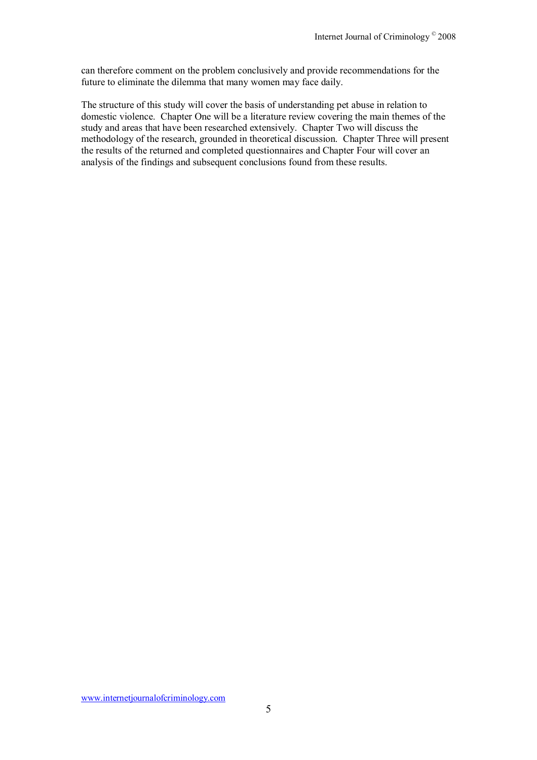can therefore comment on the problem conclusively and provide recommendations for the future to eliminate the dilemma that many women may face daily.

The structure of this study will cover the basis of understanding pet abuse in relation to domestic violence. Chapter One will be a literature review covering the main themes of the study and areas that have been researched extensively. Chapter Two will discuss the methodology of the research, grounded in theoretical discussion. Chapter Three will present the results of the returned and completed questionnaires and Chapter Four will cover an analysis of the findings and subsequent conclusions found from these results.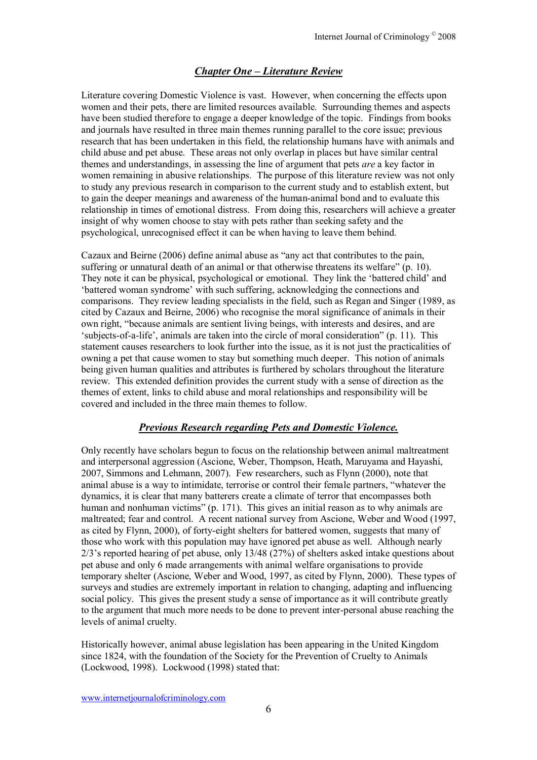## *Chapter One – Literature Review*

Literature covering Domestic Violence is vast. However, when concerning the effects upon women and their pets, there are limited resources available. Surrounding themes and aspects have been studied therefore to engage a deeper knowledge of the topic. Findings from books and journals have resulted in three main themes running parallel to the core issue; previous research that has been undertaken in this field, the relationship humans have with animals and child abuse and pet abuse. These areas not only overlap in places but have similar central themes and understandings, in assessing the line of argument that pets *are* a key factor in women remaining in abusive relationships. The purpose of this literature review was not only to study any previous research in comparison to the current study and to establish extent, but to gain the deeper meanings and awareness of the human-animal bond and to evaluate this relationship in times of emotional distress. From doing this, researchers will achieve a greater insight of why women choose to stay with pets rather than seeking safety and the psychological, unrecognised effect it can be when having to leave them behind.

Cazaux and Beirne  $(2006)$  define animal abuse as "any act that contributes to the pain, suffering or unnatural death of an animal or that otherwise threatens its welfare"  $(p, 10)$ . They note it can be physical, psychological or emotional. They link the 'battered child' and 'battered woman syndrome' with such suffering, acknowledging the connections and comparisons. They review leading specialists in the field, such as Regan and Singer (1989, as cited by Cazaux and Beirne, 2006) who recognise the moral significance of animals in their own right, "because animals are sentient living beings, with interests and desires, and are 'subjects-of-a-life', animals are taken into the circle of moral consideration" (p. 11). This statement causes researchers to look further into the issue, as it is not just the practicalities of owning a pet that cause women to stay but something much deeper. This notion of animals being given human qualities and attributes is furthered by scholars throughout the literature review. This extended definition provides the current study with a sense of direction as the themes of extent, links to child abuse and moral relationships and responsibility will be covered and included in the three main themes to follow.

## *Previous Research regarding Pets and Domestic Violence.*

Only recently have scholars begun to focus on the relationship between animal maltreatment and interpersonal aggression (Ascione, Weber, Thompson, Heath, Maruyama and Hayashi, 2007, Simmons and Lehmann, 2007). Few researchers, such as Flynn (2000), note that animal abuse is a way to intimidate, terrorise or control their female partners, "whatever the dynamics, it is clear that many batterers create a climate of terror that encompasses both human and nonhuman victims" (p. 171). This gives an initial reason as to why animals are maltreated; fear and control. A recent national survey from Ascione, Weber and Wood (1997, as cited by Flynn, 2000), of forty-eight shelters for battered women, suggests that many of those who work with this population may have ignored pet abuse as well. Although nearly 2/3ís reported hearing of pet abuse, only 13/48 (27%) of shelters asked intake questions about pet abuse and only 6 made arrangements with animal welfare organisations to provide temporary shelter (Ascione, Weber and Wood, 1997, as cited by Flynn, 2000). These types of surveys and studies are extremely important in relation to changing, adapting and influencing social policy. This gives the present study a sense of importance as it will contribute greatly to the argument that much more needs to be done to prevent inter-personal abuse reaching the levels of animal cruelty.

Historically however, animal abuse legislation has been appearing in the United Kingdom since 1824, with the foundation of the Society for the Prevention of Cruelty to Animals (Lockwood, 1998). Lockwood (1998) stated that: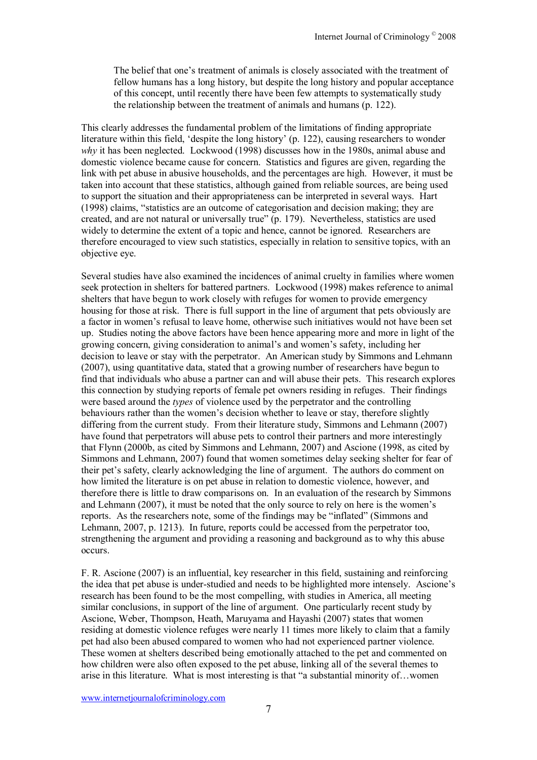The belief that one's treatment of animals is closely associated with the treatment of fellow humans has a long history, but despite the long history and popular acceptance of this concept, until recently there have been few attempts to systematically study the relationship between the treatment of animals and humans (p. 122).

This clearly addresses the fundamental problem of the limitations of finding appropriate literature within this field, 'despite the long history' (p. 122), causing researchers to wonder *why* it has been neglected. Lockwood (1998) discusses how in the 1980s, animal abuse and domestic violence became cause for concern. Statistics and figures are given, regarding the link with pet abuse in abusive households, and the percentages are high. However, it must be taken into account that these statistics, although gained from reliable sources, are being used to support the situation and their appropriateness can be interpreted in several ways. Hart  $(1998)$  claims, "statistics are an outcome of categorisation and decision making; they are created, and are not natural or universally true"  $(p. 179)$ . Nevertheless, statistics are used widely to determine the extent of a topic and hence, cannot be ignored. Researchers are therefore encouraged to view such statistics, especially in relation to sensitive topics, with an objective eye.

Several studies have also examined the incidences of animal cruelty in families where women seek protection in shelters for battered partners. Lockwood (1998) makes reference to animal shelters that have begun to work closely with refuges for women to provide emergency housing for those at risk. There is full support in the line of argument that pets obviously are a factor in women's refusal to leave home, otherwise such initiatives would not have been set up. Studies noting the above factors have been hence appearing more and more in light of the growing concern, giving consideration to animalís and womenís safety, including her decision to leave or stay with the perpetrator. An American study by Simmons and Lehmann (2007), using quantitative data, stated that a growing number of researchers have begun to find that individuals who abuse a partner can and will abuse their pets. This research explores this connection by studying reports of female pet owners residing in refuges. Their findings were based around the *types* of violence used by the perpetrator and the controlling behaviours rather than the women's decision whether to leave or stay, therefore slightly differing from the current study. From their literature study, Simmons and Lehmann (2007) have found that perpetrators will abuse pets to control their partners and more interestingly that Flynn (2000b, as cited by Simmons and Lehmann, 2007) and Ascione (1998, as cited by Simmons and Lehmann, 2007) found that women sometimes delay seeking shelter for fear of their petís safety, clearly acknowledging the line of argument. The authors do comment on how limited the literature is on pet abuse in relation to domestic violence, however, and therefore there is little to draw comparisons on. In an evaluation of the research by Simmons and Lehmann (2007), it must be noted that the only source to rely on here is the women's reports. As the researchers note, some of the findings may be "inflated" (Simmons and Lehmann, 2007, p. 1213). In future, reports could be accessed from the perpetrator too, strengthening the argument and providing a reasoning and background as to why this abuse occurs.

F. R. Ascione (2007) is an influential, key researcher in this field, sustaining and reinforcing the idea that pet abuse is under-studied and needs to be highlighted more intensely. Ascione's research has been found to be the most compelling, with studies in America, all meeting similar conclusions, in support of the line of argument. One particularly recent study by Ascione, Weber, Thompson, Heath, Maruyama and Hayashi (2007) states that women residing at domestic violence refuges were nearly 11 times more likely to claim that a family pet had also been abused compared to women who had not experienced partner violence. These women at shelters described being emotionally attached to the pet and commented on how children were also often exposed to the pet abuse, linking all of the several themes to arise in this literature. What is most interesting is that "a substantial minority of...women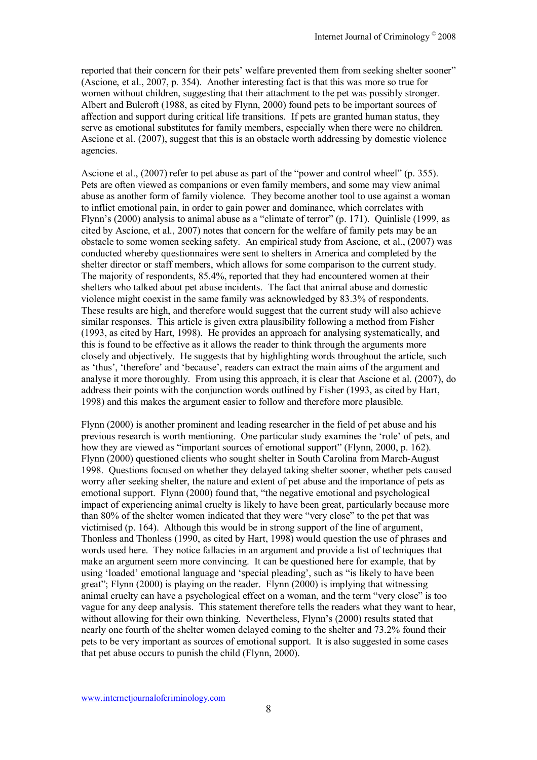reported that their concern for their pets' welfare prevented them from seeking shelter sooner" (Ascione, et al., 2007, p. 354). Another interesting fact is that this was more so true for women without children, suggesting that their attachment to the pet was possibly stronger. Albert and Bulcroft (1988, as cited by Flynn, 2000) found pets to be important sources of affection and support during critical life transitions. If pets are granted human status, they serve as emotional substitutes for family members, especially when there were no children. Ascione et al. (2007), suggest that this is an obstacle worth addressing by domestic violence agencies.

Ascione et al.,  $(2007)$  refer to pet abuse as part of the "power and control wheel" (p. 355). Pets are often viewed as companions or even family members, and some may view animal abuse as another form of family violence. They become another tool to use against a woman to inflict emotional pain, in order to gain power and dominance, which correlates with Flynn's (2000) analysis to animal abuse as a "climate of terror" (p. 171). Quinlisle (1999, as cited by Ascione, et al., 2007) notes that concern for the welfare of family pets may be an obstacle to some women seeking safety. An empirical study from Ascione, et al., (2007) was conducted whereby questionnaires were sent to shelters in America and completed by the shelter director or staff members, which allows for some comparison to the current study. The majority of respondents, 85.4%, reported that they had encountered women at their shelters who talked about pet abuse incidents. The fact that animal abuse and domestic violence might coexist in the same family was acknowledged by 83.3% of respondents. These results are high, and therefore would suggest that the current study will also achieve similar responses. This article is given extra plausibility following a method from Fisher (1993, as cited by Hart, 1998). He provides an approach for analysing systematically, and this is found to be effective as it allows the reader to think through the arguments more closely and objectively. He suggests that by highlighting words throughout the article, such as 'thus', 'therefore' and 'because', readers can extract the main aims of the argument and analyse it more thoroughly. From using this approach, it is clear that Ascione et al. (2007), do address their points with the conjunction words outlined by Fisher (1993, as cited by Hart, 1998) and this makes the argument easier to follow and therefore more plausible.

Flynn (2000) is another prominent and leading researcher in the field of pet abuse and his previous research is worth mentioning. One particular study examines the 'role' of pets, and how they are viewed as "important sources of emotional support" (Flynn, 2000, p. 162). Flynn (2000) questioned clients who sought shelter in South Carolina from March-August 1998. Questions focused on whether they delayed taking shelter sooner, whether pets caused worry after seeking shelter, the nature and extent of pet abuse and the importance of pets as emotional support. Flynn (2000) found that, "the negative emotional and psychological impact of experiencing animal cruelty is likely to have been great, particularly because more than 80% of the shelter women indicated that they were "very close" to the pet that was victimised (p. 164). Although this would be in strong support of the line of argument, Thonless and Thonless (1990, as cited by Hart, 1998) would question the use of phrases and words used here. They notice fallacies in an argument and provide a list of techniques that make an argument seem more convincing. It can be questioned here for example, that by using 'loaded' emotional language and 'special pleading', such as "is likely to have been great"; Flynn (2000) is playing on the reader. Flynn (2000) is implying that witnessing animal cruelty can have a psychological effect on a woman, and the term "very close" is too vague for any deep analysis. This statement therefore tells the readers what they want to hear, without allowing for their own thinking. Nevertheless, Flynn's (2000) results stated that nearly one fourth of the shelter women delayed coming to the shelter and 73.2% found their pets to be very important as sources of emotional support. It is also suggested in some cases that pet abuse occurs to punish the child (Flynn, 2000).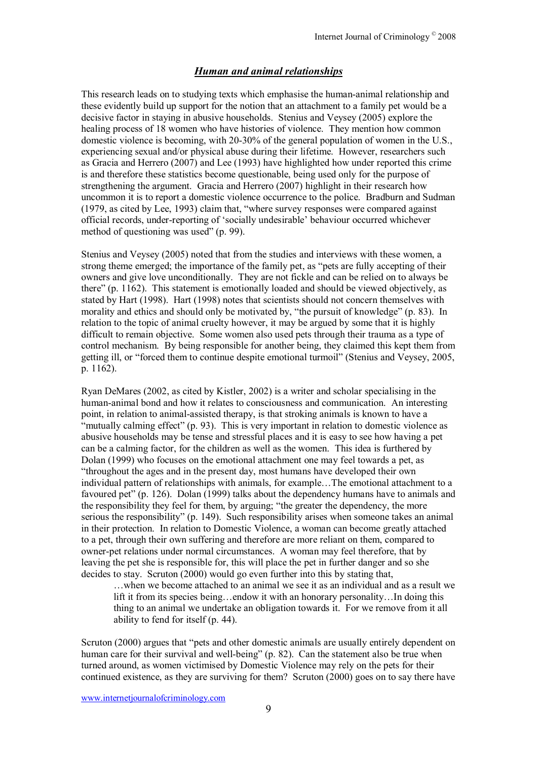## *Human and animal relationships*

This research leads on to studying texts which emphasise the human-animal relationship and these evidently build up support for the notion that an attachment to a family pet would be a decisive factor in staying in abusive households. Stenius and Veysey (2005) explore the healing process of 18 women who have histories of violence. They mention how common domestic violence is becoming, with 20-30% of the general population of women in the U.S., experiencing sexual and/or physical abuse during their lifetime. However, researchers such as Gracia and Herrero (2007) and Lee (1993) have highlighted how under reported this crime is and therefore these statistics become questionable, being used only for the purpose of strengthening the argument. Gracia and Herrero (2007) highlight in their research how uncommon it is to report a domestic violence occurrence to the police. Bradburn and Sudman  $(1979, as cited by Lee, 1993) claim that, "where survey responses were compared against$ official records, under-reporting of 'socially undesirable' behaviour occurred whichever method of questioning was used"  $(p. 99)$ .

Stenius and Veysey (2005) noted that from the studies and interviews with these women, a strong theme emerged; the importance of the family pet, as "pets are fully accepting of their owners and give love unconditionally. They are not fickle and can be relied on to always be there"  $(p, 1162)$ . This statement is emotionally loaded and should be viewed objectively, as stated by Hart (1998). Hart (1998) notes that scientists should not concern themselves with morality and ethics and should only be motivated by, "the pursuit of knowledge"  $(p, 83)$ . In relation to the topic of animal cruelty however, it may be argued by some that it is highly difficult to remain objective. Some women also used pets through their trauma as a type of control mechanism. By being responsible for another being, they claimed this kept them from getting ill, or "forced them to continue despite emotional turmoil" (Stenius and Veysey, 2005, p. 1162).

Ryan DeMares (2002, as cited by Kistler, 2002) is a writer and scholar specialising in the human-animal bond and how it relates to consciousness and communication. An interesting point, in relation to animal-assisted therapy, is that stroking animals is known to have a "mutually calming effect" (p. 93). This is very important in relation to domestic violence as abusive households may be tense and stressful places and it is easy to see how having a pet can be a calming factor, for the children as well as the women. This idea is furthered by Dolan (1999) who focuses on the emotional attachment one may feel towards a pet, as ìthroughout the ages and in the present day, most humans have developed their own individual pattern of relationships with animals, for example...The emotional attachment to a favoured pet"  $(p, 126)$ . Dolan (1999) talks about the dependency humans have to animals and the responsibility they feel for them, by arguing; "the greater the dependency, the more serious the responsibility" (p. 149). Such responsibility arises when someone takes an animal in their protection. In relation to Domestic Violence, a woman can become greatly attached to a pet, through their own suffering and therefore are more reliant on them, compared to owner-pet relations under normal circumstances. A woman may feel therefore, that by leaving the pet she is responsible for, this will place the pet in further danger and so she decides to stay. Scruton (2000) would go even further into this by stating that,

 $\dots$  when we become attached to an animal we see it as an individual and as a result we lift it from its species being...endow it with an honorary personality...In doing this thing to an animal we undertake an obligation towards it. For we remove from it all ability to fend for itself (p. 44).

Scruton (2000) argues that "pets and other domestic animals are usually entirely dependent on human care for their survival and well-being" (p. 82). Can the statement also be true when turned around, as women victimised by Domestic Violence may rely on the pets for their continued existence, as they are surviving for them? Scruton (2000) goes on to say there have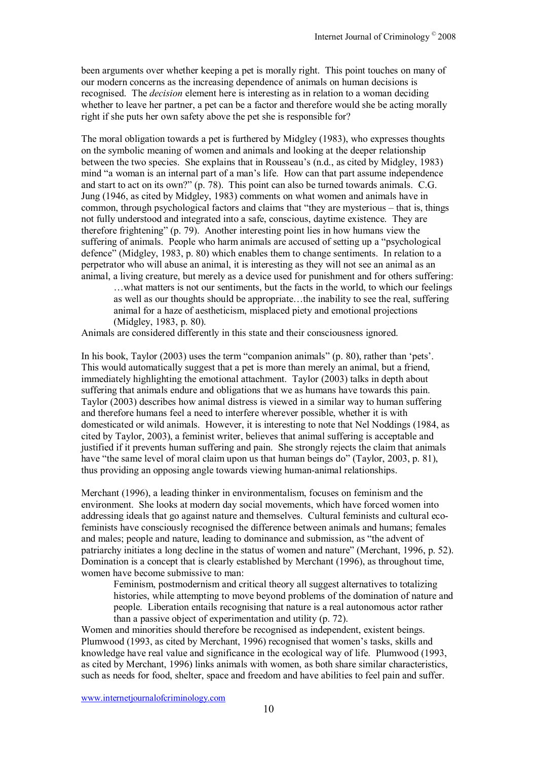been arguments over whether keeping a pet is morally right. This point touches on many of our modern concerns as the increasing dependence of animals on human decisions is recognised. The *decision* element here is interesting as in relation to a woman deciding whether to leave her partner, a pet can be a factor and therefore would she be acting morally right if she puts her own safety above the pet she is responsible for?

The moral obligation towards a pet is furthered by Midgley (1983), who expresses thoughts on the symbolic meaning of women and animals and looking at the deeper relationship between the two species. She explains that in Rousseau's (n.d., as cited by Midgley, 1983) mind "a woman is an internal part of a man's life. How can that part assume independence and start to act on its own?" (p. 78). This point can also be turned towards animals. C.G. Jung (1946, as cited by Midgley, 1983) comments on what women and animals have in common, through psychological factors and claims that "they are mysterious  $-$  that is, things not fully understood and integrated into a safe, conscious, daytime existence. They are therefore frighteningî (p. 79). Another interesting point lies in how humans view the suffering of animals. People who harm animals are accused of setting up a "psychological defenceî (Midgley, 1983, p. 80) which enables them to change sentiments. In relation to a perpetrator who will abuse an animal, it is interesting as they will not see an animal as an animal, a living creature, but merely as a device used for punishment and for others suffering:

what matters is not our sentiments, but the facts in the world, to which our feelings. as well as our thoughts should be appropriate...the inability to see the real, suffering animal for a haze of aestheticism, misplaced piety and emotional projections (Midgley, 1983, p. 80).

Animals are considered differently in this state and their consciousness ignored.

In his book, Taylor  $(2003)$  uses the term "companion animals"  $(p. 80)$ , rather than 'pets'. This would automatically suggest that a pet is more than merely an animal, but a friend, immediately highlighting the emotional attachment. Taylor (2003) talks in depth about suffering that animals endure and obligations that we as humans have towards this pain. Taylor (2003) describes how animal distress is viewed in a similar way to human suffering and therefore humans feel a need to interfere wherever possible, whether it is with domesticated or wild animals. However, it is interesting to note that Nel Noddings (1984, as cited by Taylor, 2003), a feminist writer, believes that animal suffering is acceptable and justified if it prevents human suffering and pain. She strongly rejects the claim that animals have "the same level of moral claim upon us that human beings do" (Taylor, 2003, p. 81), thus providing an opposing angle towards viewing human-animal relationships.

Merchant (1996), a leading thinker in environmentalism, focuses on feminism and the environment. She looks at modern day social movements, which have forced women into addressing ideals that go against nature and themselves. Cultural feminists and cultural ecofeminists have consciously recognised the difference between animals and humans; females and males; people and nature, leading to dominance and submission, as "the advent of patriarchy initiates a long decline in the status of women and nature" (Merchant, 1996, p. 52). Domination is a concept that is clearly established by Merchant (1996), as throughout time, women have become submissive to man:

Feminism, postmodernism and critical theory all suggest alternatives to totalizing histories, while attempting to move beyond problems of the domination of nature and people. Liberation entails recognising that nature is a real autonomous actor rather than a passive object of experimentation and utility (p. 72).

Women and minorities should therefore be recognised as independent, existent beings. Plumwood (1993, as cited by Merchant, 1996) recognised that women's tasks, skills and knowledge have real value and significance in the ecological way of life. Plumwood (1993, as cited by Merchant, 1996) links animals with women, as both share similar characteristics, such as needs for food, shelter, space and freedom and have abilities to feel pain and suffer.

www.internetjournalofcriminology.com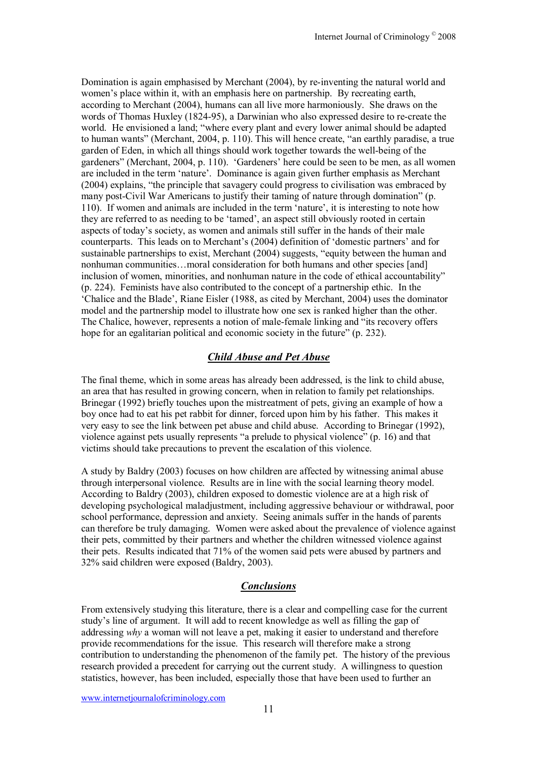Domination is again emphasised by Merchant (2004), by re-inventing the natural world and women's place within it, with an emphasis here on partnership. By recreating earth, according to Merchant (2004), humans can all live more harmoniously. She draws on the words of Thomas Huxley (1824-95), a Darwinian who also expressed desire to re-create the world. He envisioned a land; "where every plant and every lower animal should be adapted to human wants" (Merchant, 2004, p. 110). This will hence create, "an earthly paradise, a true garden of Eden, in which all things should work together towards the well-being of the gardeners" (Merchant, 2004, p. 110). 'Gardeners' here could be seen to be men, as all women are included in the term 'nature'. Dominance is again given further emphasis as Merchant  $(2004)$  explains, "the principle that savagery could progress to civilisation was embraced by many post-Civil War Americans to justify their taming of nature through domination" (p. 110). If women and animals are included in the term 'nature', it is interesting to note how they are referred to as needing to be 'tamed', an aspect still obviously rooted in certain aspects of todayís society, as women and animals still suffer in the hands of their male counterparts. This leads on to Merchant's (2004) definition of 'domestic partners' and for sustainable partnerships to exist, Merchant (2004) suggests, "equity between the human and nonhuman communities...moral consideration for both humans and other species [and] inclusion of women, minorities, and nonhuman nature in the code of ethical accountability" (p. 224). Feminists have also contributed to the concept of a partnership ethic. In the ëChalice and the Bladeí, Riane Eisler (1988, as cited by Merchant, 2004) uses the dominator model and the partnership model to illustrate how one sex is ranked higher than the other. The Chalice, however, represents a notion of male-female linking and "its recovery offers" hope for an egalitarian political and economic society in the future"  $(p. 232)$ .

#### *Child Abuse and Pet Abuse*

The final theme, which in some areas has already been addressed, is the link to child abuse, an area that has resulted in growing concern, when in relation to family pet relationships. Brinegar (1992) briefly touches upon the mistreatment of pets, giving an example of how a boy once had to eat his pet rabbit for dinner, forced upon him by his father. This makes it very easy to see the link between pet abuse and child abuse. According to Brinegar (1992), violence against pets usually represents "a prelude to physical violence"  $(p. 16)$  and that victims should take precautions to prevent the escalation of this violence.

A study by Baldry (2003) focuses on how children are affected by witnessing animal abuse through interpersonal violence. Results are in line with the social learning theory model. According to Baldry (2003), children exposed to domestic violence are at a high risk of developing psychological maladjustment, including aggressive behaviour or withdrawal, poor school performance, depression and anxiety. Seeing animals suffer in the hands of parents can therefore be truly damaging. Women were asked about the prevalence of violence against their pets, committed by their partners and whether the children witnessed violence against their pets. Results indicated that 71% of the women said pets were abused by partners and 32% said children were exposed (Baldry, 2003).

#### *Conclusions*

From extensively studying this literature, there is a clear and compelling case for the current study's line of argument. It will add to recent knowledge as well as filling the gap of addressing *why* a woman will not leave a pet, making it easier to understand and therefore provide recommendations for the issue. This research will therefore make a strong contribution to understanding the phenomenon of the family pet. The history of the previous research provided a precedent for carrying out the current study. A willingness to question statistics, however, has been included, especially those that have been used to further an

www.internetjournalofcriminology.com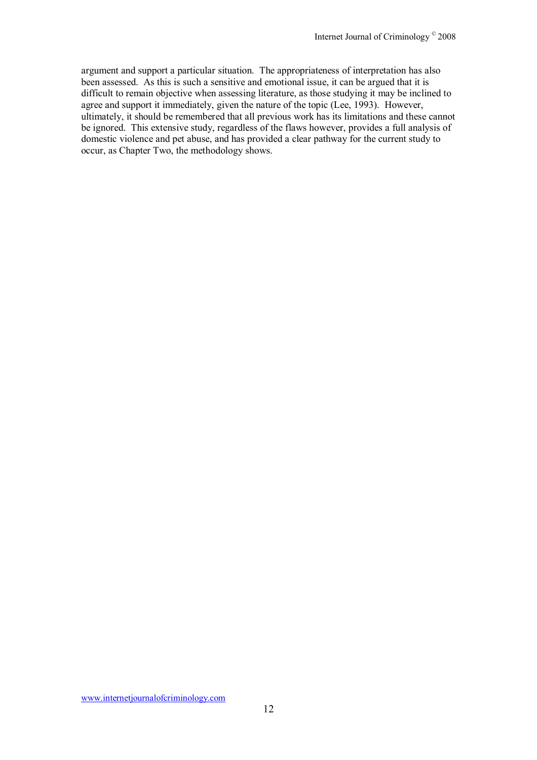argument and support a particular situation. The appropriateness of interpretation has also been assessed. As this is such a sensitive and emotional issue, it can be argued that it is difficult to remain objective when assessing literature, as those studying it may be inclined to agree and support it immediately, given the nature of the topic (Lee, 1993). However, ultimately, it should be remembered that all previous work has its limitations and these cannot be ignored. This extensive study, regardless of the flaws however, provides a full analysis of domestic violence and pet abuse, and has provided a clear pathway for the current study to occur, as Chapter Two, the methodology shows.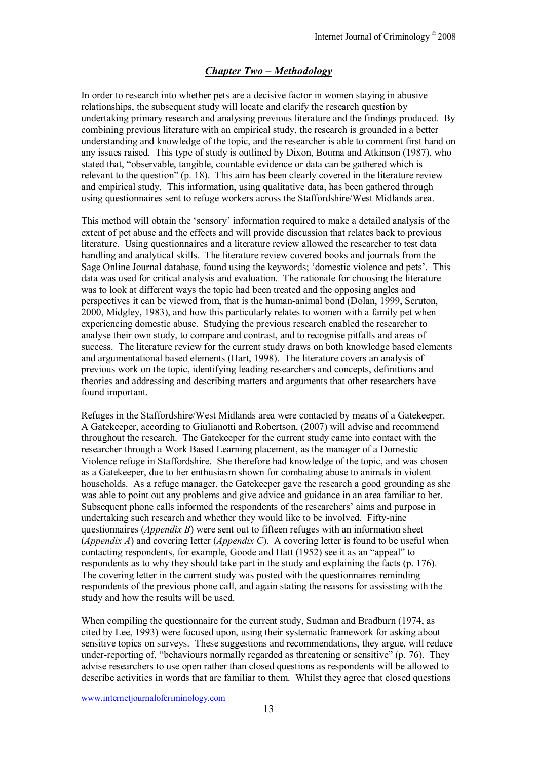## *Chapter Two – Methodology*

In order to research into whether pets are a decisive factor in women staying in abusive relationships, the subsequent study will locate and clarify the research question by undertaking primary research and analysing previous literature and the findings produced. By combining previous literature with an empirical study, the research is grounded in a better understanding and knowledge of the topic, and the researcher is able to comment first hand on any issues raised. This type of study is outlined by Dixon, Bouma and Atkinson (1987), who stated that, "observable, tangible, countable evidence or data can be gathered which is relevant to the question"  $(p. 18)$ . This aim has been clearly covered in the literature review and empirical study. This information, using qualitative data, has been gathered through using questionnaires sent to refuge workers across the Staffordshire/West Midlands area.

This method will obtain the 'sensory' information required to make a detailed analysis of the extent of pet abuse and the effects and will provide discussion that relates back to previous literature. Using questionnaires and a literature review allowed the researcher to test data handling and analytical skills. The literature review covered books and journals from the Sage Online Journal database, found using the keywords; 'domestic violence and pets'. This data was used for critical analysis and evaluation. The rationale for choosing the literature was to look at different ways the topic had been treated and the opposing angles and perspectives it can be viewed from, that is the human-animal bond (Dolan, 1999, Scruton, 2000, Midgley, 1983), and how this particularly relates to women with a family pet when experiencing domestic abuse. Studying the previous research enabled the researcher to analyse their own study, to compare and contrast, and to recognise pitfalls and areas of success. The literature review for the current study draws on both knowledge based elements and argumentational based elements (Hart, 1998). The literature covers an analysis of previous work on the topic, identifying leading researchers and concepts, definitions and theories and addressing and describing matters and arguments that other researchers have found important.

Refuges in the Staffordshire/West Midlands area were contacted by means of a Gatekeeper. A Gatekeeper, according to Giulianotti and Robertson, (2007) will advise and recommend throughout the research. The Gatekeeper for the current study came into contact with the researcher through a Work Based Learning placement, as the manager of a Domestic Violence refuge in Staffordshire. She therefore had knowledge of the topic, and was chosen as a Gatekeeper, due to her enthusiasm shown for combating abuse to animals in violent households. As a refuge manager, the Gatekeeper gave the research a good grounding as she was able to point out any problems and give advice and guidance in an area familiar to her. Subsequent phone calls informed the respondents of the researchers' aims and purpose in undertaking such research and whether they would like to be involved. Fifty-nine questionnaires (*Appendix B*) were sent out to fifteen refuges with an information sheet (*Appendix A*) and covering letter (*Appendix C*). A covering letter is found to be useful when contacting respondents, for example. Goode and Hatt  $(1952)$  see it as an "appeal" to respondents as to why they should take part in the study and explaining the facts (p. 176). The covering letter in the current study was posted with the questionnaires reminding respondents of the previous phone call, and again stating the reasons for assissting with the study and how the results will be used.

When compiling the questionnaire for the current study, Sudman and Bradburn (1974, as cited by Lee, 1993) were focused upon, using their systematic framework for asking about sensitive topics on surveys. These suggestions and recommendations, they argue, will reduce under-reporting of, "behaviours normally regarded as threatening or sensitive"  $(p. 76)$ . They advise researchers to use open rather than closed questions as respondents will be allowed to describe activities in words that are familiar to them. Whilst they agree that closed questions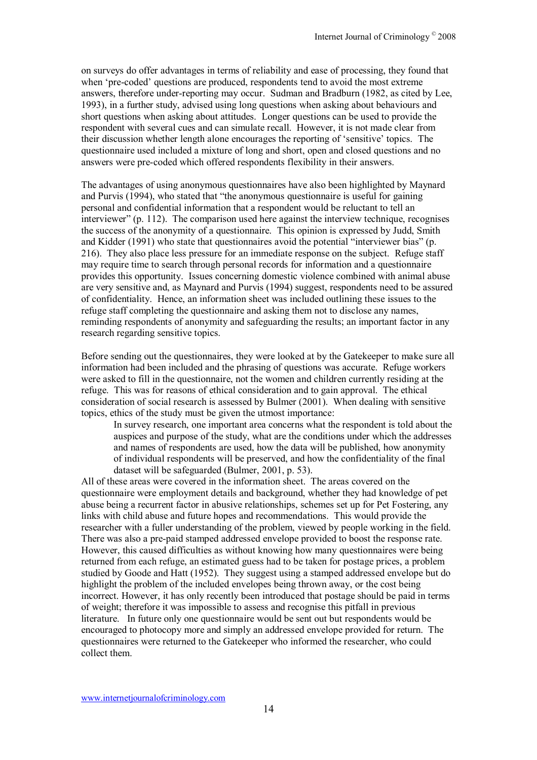on surveys do offer advantages in terms of reliability and ease of processing, they found that when 'pre-coded' questions are produced, respondents tend to avoid the most extreme answers, therefore under-reporting may occur. Sudman and Bradburn (1982, as cited by Lee, 1993), in a further study, advised using long questions when asking about behaviours and short questions when asking about attitudes. Longer questions can be used to provide the respondent with several cues and can simulate recall. However, it is not made clear from their discussion whether length alone encourages the reporting of 'sensitive' topics. The questionnaire used included a mixture of long and short, open and closed questions and no answers were pre-coded which offered respondents flexibility in their answers.

The advantages of using anonymous questionnaires have also been highlighted by Maynard and Purvis  $(1994)$ , who stated that "the anonymous questionnaire is useful for gaining personal and confidential information that a respondent would be reluctant to tell an interviewer"  $(p. 112)$ . The comparison used here against the interview technique, recognises the success of the anonymity of a questionnaire. This opinion is expressed by Judd, Smith and Kidder  $(1991)$  who state that questionnaires avoid the potential "interviewer bias" (p. 216). They also place less pressure for an immediate response on the subject. Refuge staff may require time to search through personal records for information and a questionnaire provides this opportunity. Issues concerning domestic violence combined with animal abuse are very sensitive and, as Maynard and Purvis (1994) suggest, respondents need to be assured of confidentiality. Hence, an information sheet was included outlining these issues to the refuge staff completing the questionnaire and asking them not to disclose any names, reminding respondents of anonymity and safeguarding the results; an important factor in any research regarding sensitive topics.

Before sending out the questionnaires, they were looked at by the Gatekeeper to make sure all information had been included and the phrasing of questions was accurate. Refuge workers were asked to fill in the questionnaire, not the women and children currently residing at the refuge. This was for reasons of ethical consideration and to gain approval. The ethical consideration of social research is assessed by Bulmer (2001). When dealing with sensitive topics, ethics of the study must be given the utmost importance:

In survey research, one important area concerns what the respondent is told about the auspices and purpose of the study, what are the conditions under which the addresses and names of respondents are used, how the data will be published, how anonymity of individual respondents will be preserved, and how the confidentiality of the final dataset will be safeguarded (Bulmer, 2001, p. 53).

All of these areas were covered in the information sheet. The areas covered on the questionnaire were employment details and background, whether they had knowledge of pet abuse being a recurrent factor in abusive relationships, schemes set up for Pet Fostering, any links with child abuse and future hopes and recommendations. This would provide the researcher with a fuller understanding of the problem, viewed by people working in the field. There was also a pre-paid stamped addressed envelope provided to boost the response rate. However, this caused difficulties as without knowing how many questionnaires were being returned from each refuge, an estimated guess had to be taken for postage prices, a problem studied by Goode and Hatt (1952). They suggest using a stamped addressed envelope but do highlight the problem of the included envelopes being thrown away, or the cost being incorrect. However, it has only recently been introduced that postage should be paid in terms of weight; therefore it was impossible to assess and recognise this pitfall in previous literature. In future only one questionnaire would be sent out but respondents would be encouraged to photocopy more and simply an addressed envelope provided for return. The questionnaires were returned to the Gatekeeper who informed the researcher, who could collect them.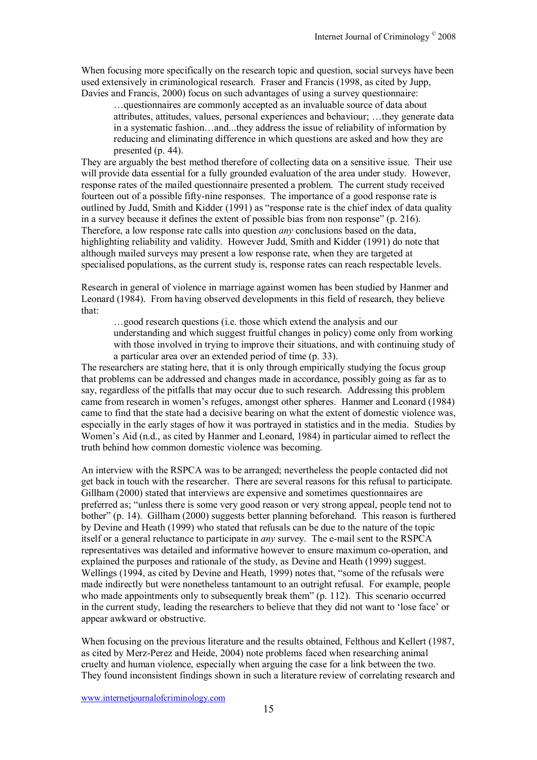When focusing more specifically on the research topic and question, social surveys have been used extensively in criminological research. Fraser and Francis (1998, as cited by Jupp, Davies and Francis, 2000) focus on such advantages of using a survey questionnaire:

...questionnaires are commonly accepted as an invaluable source of data about attributes, attitudes, values, personal experiences and behaviour; ... they generate data in a systematic fashion...and...they address the issue of reliability of information by reducing and eliminating difference in which questions are asked and how they are presented (p. 44).

They are arguably the best method therefore of collecting data on a sensitive issue. Their use will provide data essential for a fully grounded evaluation of the area under study. However, response rates of the mailed questionnaire presented a problem. The current study received fourteen out of a possible fifty-nine responses. The importance of a good response rate is outlined by Judd, Smith and Kidder  $(1991)$  as "response rate is the chief index of data quality in a survey because it defines the extent of possible bias from non response"  $(p. 216)$ . Therefore, a low response rate calls into question *any* conclusions based on the data, highlighting reliability and validity. However Judd, Smith and Kidder (1991) do note that although mailed surveys may present a low response rate, when they are targeted at specialised populations, as the current study is, response rates can reach respectable levels.

Research in general of violence in marriage against women has been studied by Hanmer and Leonard (1984). From having observed developments in this field of research, they believe that:

... good research questions (i.e. those which extend the analysis and our understanding and which suggest fruitful changes in policy) come only from working with those involved in trying to improve their situations, and with continuing study of a particular area over an extended period of time (p. 33).

The researchers are stating here, that it is only through empirically studying the focus group that problems can be addressed and changes made in accordance, possibly going as far as to say, regardless of the pitfalls that may occur due to such research. Addressing this problem came from research in women's refuges, amongst other spheres. Hanmer and Leonard (1984) came to find that the state had a decisive bearing on what the extent of domestic violence was, especially in the early stages of how it was portrayed in statistics and in the media. Studies by Women's Aid (n.d., as cited by Hanmer and Leonard, 1984) in particular aimed to reflect the truth behind how common domestic violence was becoming.

An interview with the RSPCA was to be arranged; nevertheless the people contacted did not get back in touch with the researcher. There are several reasons for this refusal to participate. Gillham (2000) stated that interviews are expensive and sometimes questionnaires are preferred as; "unless there is some very good reason or very strong appeal, people tend not to bother" (p. 14). Gillham (2000) suggests better planning beforehand. This reason is furthered by Devine and Heath (1999) who stated that refusals can be due to the nature of the topic itself or a general reluctance to participate in *any* survey. The e-mail sent to the RSPCA representatives was detailed and informative however to ensure maximum co-operation, and explained the purposes and rationale of the study, as Devine and Heath (1999) suggest. Wellings (1994, as cited by Devine and Heath, 1999) notes that, "some of the refusals were made indirectly but were nonetheless tantamount to an outright refusal. For example, people who made appointments only to subsequently break them<sup>?</sup> (p. 112). This scenario occurred in the current study, leading the researchers to believe that they did not want to 'lose face' or appear awkward or obstructive.

When focusing on the previous literature and the results obtained, Felthous and Kellert (1987, as cited by Merz-Perez and Heide, 2004) note problems faced when researching animal cruelty and human violence, especially when arguing the case for a link between the two. They found inconsistent findings shown in such a literature review of correlating research and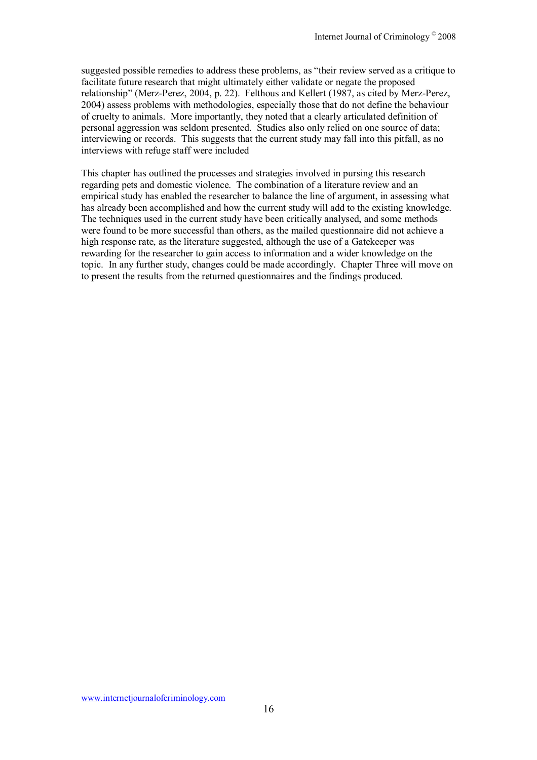suggested possible remedies to address these problems, as "their review served as a critique to facilitate future research that might ultimately either validate or negate the proposed relationship" (Merz-Perez, 2004, p. 22). Felthous and Kellert (1987, as cited by Merz-Perez, 2004) assess problems with methodologies, especially those that do not define the behaviour of cruelty to animals. More importantly, they noted that a clearly articulated definition of personal aggression was seldom presented. Studies also only relied on one source of data; interviewing or records. This suggests that the current study may fall into this pitfall, as no interviews with refuge staff were included

This chapter has outlined the processes and strategies involved in pursing this research regarding pets and domestic violence. The combination of a literature review and an empirical study has enabled the researcher to balance the line of argument, in assessing what has already been accomplished and how the current study will add to the existing knowledge. The techniques used in the current study have been critically analysed, and some methods were found to be more successful than others, as the mailed questionnaire did not achieve a high response rate, as the literature suggested, although the use of a Gatekeeper was rewarding for the researcher to gain access to information and a wider knowledge on the topic. In any further study, changes could be made accordingly. Chapter Three will move on to present the results from the returned questionnaires and the findings produced.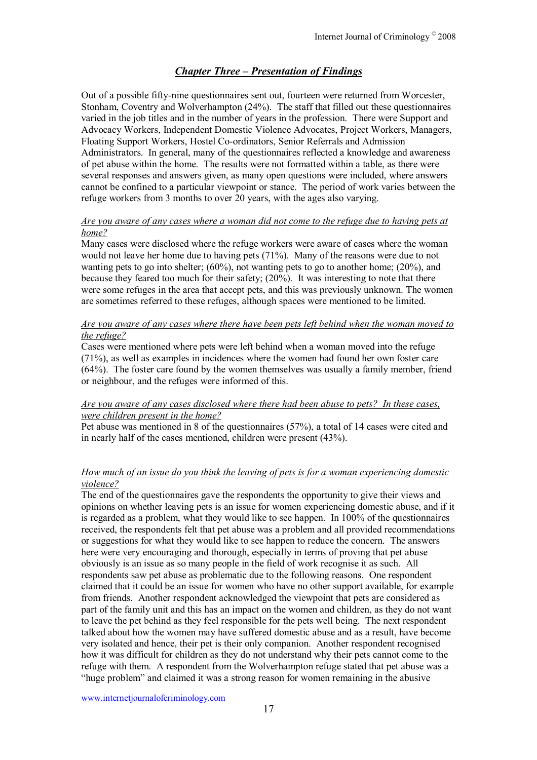## *Chapter Three – Presentation of Findings*

Out of a possible fifty-nine questionnaires sent out, fourteen were returned from Worcester, Stonham, Coventry and Wolverhampton (24%). The staff that filled out these questionnaires varied in the job titles and in the number of years in the profession. There were Support and Advocacy Workers, Independent Domestic Violence Advocates, Project Workers, Managers, Floating Support Workers, Hostel Co-ordinators, Senior Referrals and Admission Administrators. In general, many of the questionnaires reflected a knowledge and awareness of pet abuse within the home. The results were not formatted within a table, as there were several responses and answers given, as many open questions were included, where answers cannot be confined to a particular viewpoint or stance. The period of work varies between the refuge workers from 3 months to over 20 years, with the ages also varying.

#### *Are you aware of any cases where a woman did not come to the refuge due to having pets at home?*

Many cases were disclosed where the refuge workers were aware of cases where the woman would not leave her home due to having pets (71%). Many of the reasons were due to not wanting pets to go into shelter;  $(60\%)$ , not wanting pets to go to another home;  $(20\%)$ , and because they feared too much for their safety; (20%). It was interesting to note that there were some refuges in the area that accept pets, and this was previously unknown. The women are sometimes referred to these refuges, although spaces were mentioned to be limited.

#### *Are you aware of any cases where there have been pets left behind when the woman moved to the refuge?*

Cases were mentioned where pets were left behind when a woman moved into the refuge (71%), as well as examples in incidences where the women had found her own foster care (64%). The foster care found by the women themselves was usually a family member, friend or neighbour, and the refuges were informed of this.

#### *Are you aware of any cases disclosed where there had been abuse to pets? In these cases, were children present in the home?*

Pet abuse was mentioned in 8 of the questionnaires (57%), a total of 14 cases were cited and in nearly half of the cases mentioned, children were present (43%).

#### *How much of an issue do you think the leaving of pets is for a woman experiencing domestic violence?*

The end of the questionnaires gave the respondents the opportunity to give their views and opinions on whether leaving pets is an issue for women experiencing domestic abuse, and if it is regarded as a problem, what they would like to see happen. In 100% of the questionnaires received, the respondents felt that pet abuse was a problem and all provided recommendations or suggestions for what they would like to see happen to reduce the concern. The answers here were very encouraging and thorough, especially in terms of proving that pet abuse obviously is an issue as so many people in the field of work recognise it as such. All respondents saw pet abuse as problematic due to the following reasons. One respondent claimed that it could be an issue for women who have no other support available, for example from friends. Another respondent acknowledged the viewpoint that pets are considered as part of the family unit and this has an impact on the women and children, as they do not want to leave the pet behind as they feel responsible for the pets well being. The next respondent talked about how the women may have suffered domestic abuse and as a result, have become very isolated and hence, their pet is their only companion. Another respondent recognised how it was difficult for children as they do not understand why their pets cannot come to the refuge with them. A respondent from the Wolverhampton refuge stated that pet abuse was a ìhuge problemî and claimed it was a strong reason for women remaining in the abusive

www.internetjournalofcriminology.com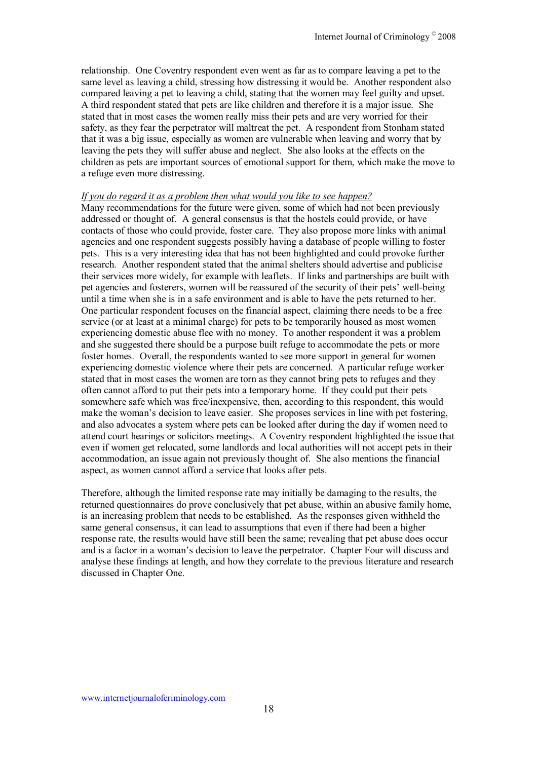relationship. One Coventry respondent even went as far as to compare leaving a pet to the same level as leaving a child, stressing how distressing it would be. Another respondent also compared leaving a pet to leaving a child, stating that the women may feel guilty and upset. A third respondent stated that pets are like children and therefore it is a major issue. She stated that in most cases the women really miss their pets and are very worried for their safety, as they fear the perpetrator will maltreat the pet. A respondent from Stonham stated that it was a big issue, especially as women are vulnerable when leaving and worry that by leaving the pets they will suffer abuse and neglect. She also looks at the effects on the children as pets are important sources of emotional support for them, which make the move to a refuge even more distressing.

#### *If you do regard it as a problem then what would you like to see happen?*

Many recommendations for the future were given, some of which had not been previously addressed or thought of. A general consensus is that the hostels could provide, or have contacts of those who could provide, foster care. They also propose more links with animal agencies and one respondent suggests possibly having a database of people willing to foster pets. This is a very interesting idea that has not been highlighted and could provoke further research. Another respondent stated that the animal shelters should advertise and publicise their services more widely, for example with leaflets. If links and partnerships are built with pet agencies and fosterers, women will be reassured of the security of their petsí well-being until a time when she is in a safe environment and is able to have the pets returned to her. One particular respondent focuses on the financial aspect, claiming there needs to be a free service (or at least at a minimal charge) for pets to be temporarily housed as most women experiencing domestic abuse flee with no money. To another respondent it was a problem and she suggested there should be a purpose built refuge to accommodate the pets or more foster homes. Overall, the respondents wanted to see more support in general for women experiencing domestic violence where their pets are concerned. A particular refuge worker stated that in most cases the women are torn as they cannot bring pets to refuges and they often cannot afford to put their pets into a temporary home. If they could put their pets somewhere safe which was free/inexpensive, then, according to this respondent, this would make the woman's decision to leave easier. She proposes services in line with pet fostering, and also advocates a system where pets can be looked after during the day if women need to attend court hearings or solicitors meetings. A Coventry respondent highlighted the issue that even if women get relocated, some landlords and local authorities will not accept pets in their accommodation, an issue again not previously thought of. She also mentions the financial aspect, as women cannot afford a service that looks after pets.

Therefore, although the limited response rate may initially be damaging to the results, the returned questionnaires do prove conclusively that pet abuse, within an abusive family home, is an increasing problem that needs to be established. As the responses given withheld the same general consensus, it can lead to assumptions that even if there had been a higher response rate, the results would have still been the same; revealing that pet abuse does occur and is a factor in a woman's decision to leave the perpetrator. Chapter Four will discuss and analyse these findings at length, and how they correlate to the previous literature and research discussed in Chapter One.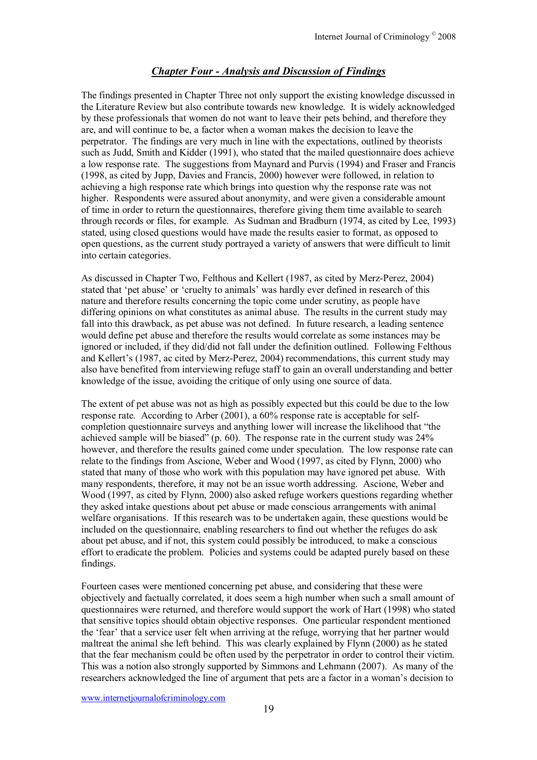## *Chapter Four - Analysis and Discussion of Findings*

The findings presented in Chapter Three not only support the existing knowledge discussed in the Literature Review but also contribute towards new knowledge. It is widely acknowledged by these professionals that women do not want to leave their pets behind, and therefore they are, and will continue to be, a factor when a woman makes the decision to leave the perpetrator. The findings are very much in line with the expectations, outlined by theorists such as Judd, Smith and Kidder (1991), who stated that the mailed questionnaire does achieve a low response rate. The suggestions from Maynard and Purvis (1994) and Fraser and Francis (1998, as cited by Jupp, Davies and Francis, 2000) however were followed, in relation to achieving a high response rate which brings into question why the response rate was not higher. Respondents were assured about anonymity, and were given a considerable amount of time in order to return the questionnaires, therefore giving them time available to search through records or files, for example. As Sudman and Bradburn (1974, as cited by Lee, 1993) stated, using closed questions would have made the results easier to format, as opposed to open questions, as the current study portrayed a variety of answers that were difficult to limit into certain categories.

As discussed in Chapter Two, Felthous and Kellert (1987, as cited by Merz-Perez, 2004) stated that 'pet abuse' or 'cruelty to animals' was hardly ever defined in research of this nature and therefore results concerning the topic come under scrutiny, as people have differing opinions on what constitutes as animal abuse. The results in the current study may fall into this drawback, as pet abuse was not defined. In future research, a leading sentence would define pet abuse and therefore the results would correlate as some instances may be ignored or included, if they did/did not fall under the definition outlined. Following Felthous and Kellert's (1987, ac cited by Merz-Perez, 2004) recommendations, this current study may also have benefited from interviewing refuge staff to gain an overall understanding and better knowledge of the issue, avoiding the critique of only using one source of data.

The extent of pet abuse was not as high as possibly expected but this could be due to the low response rate. According to Arber (2001), a 60% response rate is acceptable for selfcompletion questionnaire surveys and anything lower will increase the likelihood that "the achieved sample will be biased"  $(p, 60)$ . The response rate in the current study was  $24\%$ however, and therefore the results gained come under speculation. The low response rate can relate to the findings from Ascione, Weber and Wood (1997, as cited by Flynn, 2000) who stated that many of those who work with this population may have ignored pet abuse. With many respondents, therefore, it may not be an issue worth addressing. Ascione, Weber and Wood (1997, as cited by Flynn, 2000) also asked refuge workers questions regarding whether they asked intake questions about pet abuse or made conscious arrangements with animal welfare organisations. If this research was to be undertaken again, these questions would be included on the questionnaire, enabling researchers to find out whether the refuges do ask about pet abuse, and if not, this system could possibly be introduced, to make a conscious effort to eradicate the problem. Policies and systems could be adapted purely based on these findings.

Fourteen cases were mentioned concerning pet abuse, and considering that these were objectively and factually correlated, it does seem a high number when such a small amount of questionnaires were returned, and therefore would support the work of Hart (1998) who stated that sensitive topics should obtain objective responses. One particular respondent mentioned the ëfearí that a service user felt when arriving at the refuge, worrying that her partner would maltreat the animal she left behind. This was clearly explained by Flynn (2000) as he stated that the fear mechanism could be often used by the perpetrator in order to control their victim. This was a notion also strongly supported by Simmons and Lehmann (2007). As many of the researchers acknowledged the line of argument that pets are a factor in a womanís decision to

www.internetjournalofcriminology.com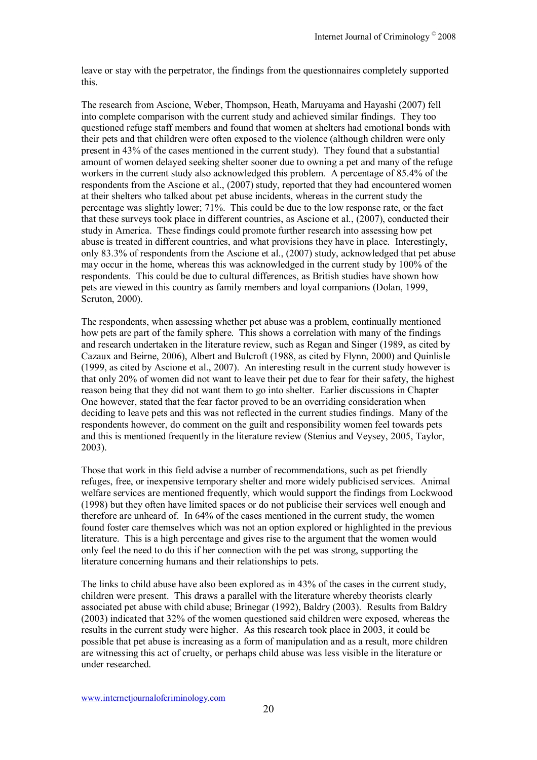leave or stay with the perpetrator, the findings from the questionnaires completely supported this.

The research from Ascione, Weber, Thompson, Heath, Maruyama and Hayashi (2007) fell into complete comparison with the current study and achieved similar findings. They too questioned refuge staff members and found that women at shelters had emotional bonds with their pets and that children were often exposed to the violence (although children were only present in 43% of the cases mentioned in the current study). They found that a substantial amount of women delayed seeking shelter sooner due to owning a pet and many of the refuge workers in the current study also acknowledged this problem. A percentage of 85.4% of the respondents from the Ascione et al., (2007) study, reported that they had encountered women at their shelters who talked about pet abuse incidents, whereas in the current study the percentage was slightly lower; 71%. This could be due to the low response rate, or the fact that these surveys took place in different countries, as Ascione et al., (2007), conducted their study in America. These findings could promote further research into assessing how pet abuse is treated in different countries, and what provisions they have in place. Interestingly, only 83.3% of respondents from the Ascione et al., (2007) study, acknowledged that pet abuse may occur in the home, whereas this was acknowledged in the current study by 100% of the respondents. This could be due to cultural differences, as British studies have shown how pets are viewed in this country as family members and loyal companions (Dolan, 1999, Scruton, 2000).

The respondents, when assessing whether pet abuse was a problem, continually mentioned how pets are part of the family sphere. This shows a correlation with many of the findings and research undertaken in the literature review, such as Regan and Singer (1989, as cited by Cazaux and Beirne, 2006), Albert and Bulcroft (1988, as cited by Flynn, 2000) and Quinlisle (1999, as cited by Ascione et al., 2007). An interesting result in the current study however is that only 20% of women did not want to leave their pet due to fear for their safety, the highest reason being that they did not want them to go into shelter. Earlier discussions in Chapter One however, stated that the fear factor proved to be an overriding consideration when deciding to leave pets and this was not reflected in the current studies findings. Many of the respondents however, do comment on the guilt and responsibility women feel towards pets and this is mentioned frequently in the literature review (Stenius and Veysey, 2005, Taylor, 2003).

Those that work in this field advise a number of recommendations, such as pet friendly refuges, free, or inexpensive temporary shelter and more widely publicised services. Animal welfare services are mentioned frequently, which would support the findings from Lockwood (1998) but they often have limited spaces or do not publicise their services well enough and therefore are unheard of. In 64% of the cases mentioned in the current study, the women found foster care themselves which was not an option explored or highlighted in the previous literature. This is a high percentage and gives rise to the argument that the women would only feel the need to do this if her connection with the pet was strong, supporting the literature concerning humans and their relationships to pets.

The links to child abuse have also been explored as in 43% of the cases in the current study, children were present. This draws a parallel with the literature whereby theorists clearly associated pet abuse with child abuse; Brinegar (1992), Baldry (2003). Results from Baldry (2003) indicated that 32% of the women questioned said children were exposed, whereas the results in the current study were higher. As this research took place in 2003, it could be possible that pet abuse is increasing as a form of manipulation and as a result, more children are witnessing this act of cruelty, or perhaps child abuse was less visible in the literature or under researched.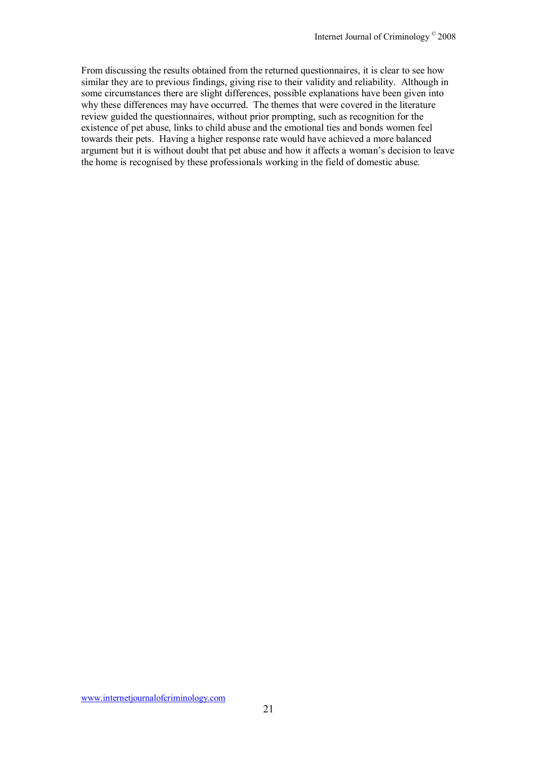From discussing the results obtained from the returned questionnaires, it is clear to see how similar they are to previous findings, giving rise to their validity and reliability. Although in some circumstances there are slight differences, possible explanations have been given into why these differences may have occurred. The themes that were covered in the literature review guided the questionnaires, without prior prompting, such as recognition for the existence of pet abuse, links to child abuse and the emotional ties and bonds women feel towards their pets. Having a higher response rate would have achieved a more balanced argument but it is without doubt that pet abuse and how it affects a woman's decision to leave the home is recognised by these professionals working in the field of domestic abuse.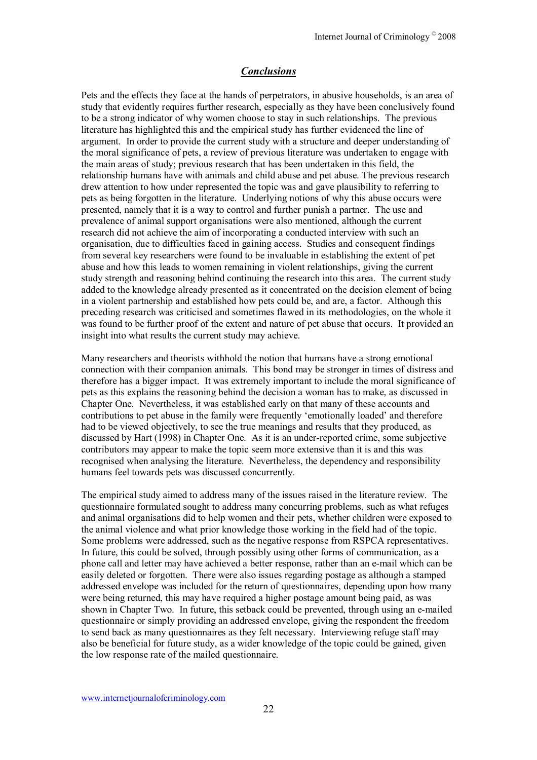### *Conclusions*

Pets and the effects they face at the hands of perpetrators, in abusive households, is an area of study that evidently requires further research, especially as they have been conclusively found to be a strong indicator of why women choose to stay in such relationships. The previous literature has highlighted this and the empirical study has further evidenced the line of argument. In order to provide the current study with a structure and deeper understanding of the moral significance of pets, a review of previous literature was undertaken to engage with the main areas of study; previous research that has been undertaken in this field, the relationship humans have with animals and child abuse and pet abuse. The previous research drew attention to how under represented the topic was and gave plausibility to referring to pets as being forgotten in the literature. Underlying notions of why this abuse occurs were presented, namely that it is a way to control and further punish a partner. The use and prevalence of animal support organisations were also mentioned, although the current research did not achieve the aim of incorporating a conducted interview with such an organisation, due to difficulties faced in gaining access. Studies and consequent findings from several key researchers were found to be invaluable in establishing the extent of pet abuse and how this leads to women remaining in violent relationships, giving the current study strength and reasoning behind continuing the research into this area. The current study added to the knowledge already presented as it concentrated on the decision element of being in a violent partnership and established how pets could be, and are, a factor. Although this preceding research was criticised and sometimes flawed in its methodologies, on the whole it was found to be further proof of the extent and nature of pet abuse that occurs. It provided an insight into what results the current study may achieve.

Many researchers and theorists withhold the notion that humans have a strong emotional connection with their companion animals. This bond may be stronger in times of distress and therefore has a bigger impact. It was extremely important to include the moral significance of pets as this explains the reasoning behind the decision a woman has to make, as discussed in Chapter One. Nevertheless, it was established early on that many of these accounts and contributions to pet abuse in the family were frequently 'emotionally loaded' and therefore had to be viewed objectively, to see the true meanings and results that they produced, as discussed by Hart (1998) in Chapter One. As it is an under-reported crime, some subjective contributors may appear to make the topic seem more extensive than it is and this was recognised when analysing the literature. Nevertheless, the dependency and responsibility humans feel towards pets was discussed concurrently.

The empirical study aimed to address many of the issues raised in the literature review. The questionnaire formulated sought to address many concurring problems, such as what refuges and animal organisations did to help women and their pets, whether children were exposed to the animal violence and what prior knowledge those working in the field had of the topic. Some problems were addressed, such as the negative response from RSPCA representatives. In future, this could be solved, through possibly using other forms of communication, as a phone call and letter may have achieved a better response, rather than an e-mail which can be easily deleted or forgotten. There were also issues regarding postage as although a stamped addressed envelope was included for the return of questionnaires, depending upon how many were being returned, this may have required a higher postage amount being paid, as was shown in Chapter Two. In future, this setback could be prevented, through using an e-mailed questionnaire or simply providing an addressed envelope, giving the respondent the freedom to send back as many questionnaires as they felt necessary. Interviewing refuge staff may also be beneficial for future study, as a wider knowledge of the topic could be gained, given the low response rate of the mailed questionnaire.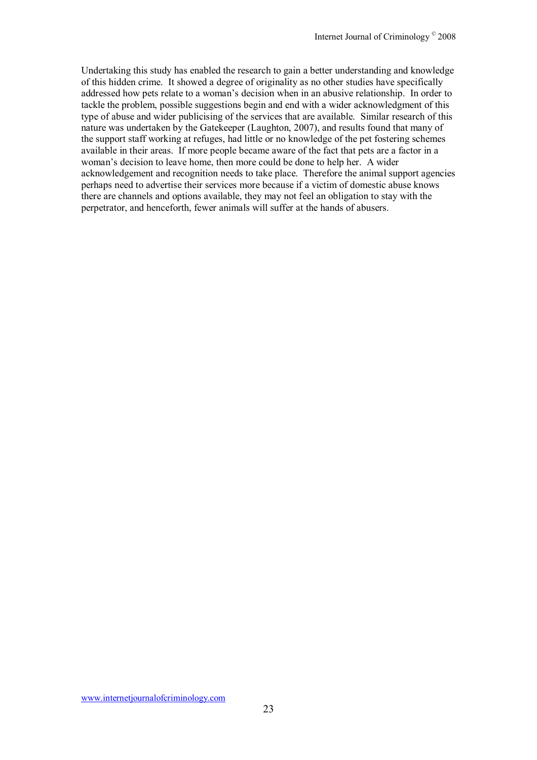Undertaking this study has enabled the research to gain a better understanding and knowledge of this hidden crime. It showed a degree of originality as no other studies have specifically addressed how pets relate to a woman's decision when in an abusive relationship. In order to tackle the problem, possible suggestions begin and end with a wider acknowledgment of this type of abuse and wider publicising of the services that are available. Similar research of this nature was undertaken by the Gatekeeper (Laughton, 2007), and results found that many of the support staff working at refuges, had little or no knowledge of the pet fostering schemes available in their areas. If more people became aware of the fact that pets are a factor in a woman's decision to leave home, then more could be done to help her. A wider acknowledgement and recognition needs to take place. Therefore the animal support agencies perhaps need to advertise their services more because if a victim of domestic abuse knows there are channels and options available, they may not feel an obligation to stay with the perpetrator, and henceforth, fewer animals will suffer at the hands of abusers.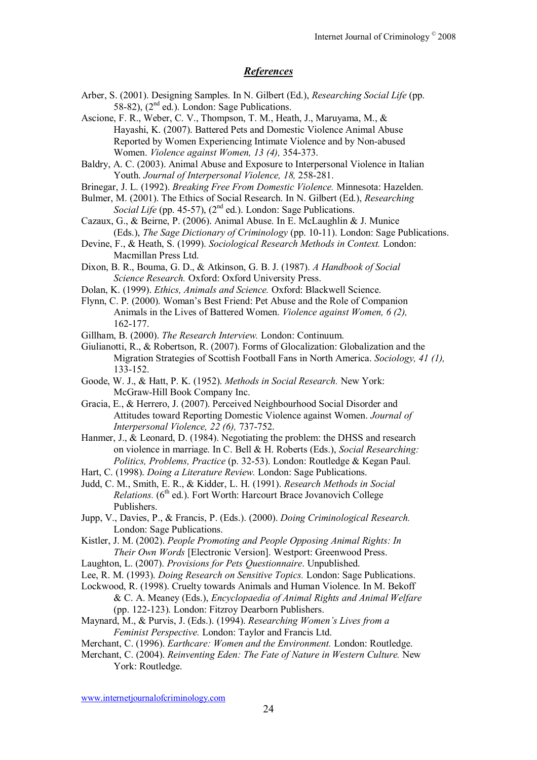#### *References*

- Arber, S. (2001). Designing Samples. In N. Gilbert (Ed.), *Researching Social Life* (pp.  $58-82$ ),  $(2<sup>nd</sup>$  ed.). London: Sage Publications.
- Ascione, F. R., Weber, C. V., Thompson, T. M., Heath, J., Maruyama, M., & Hayashi, K. (2007). Battered Pets and Domestic Violence Animal Abuse Reported by Women Experiencing Intimate Violence and by Non-abused Women. *Violence against Women, 13 (4),* 354-373.

Baldry, A. C. (2003). Animal Abuse and Exposure to Interpersonal Violence in Italian Youth. *Journal of Interpersonal Violence, 18,* 258-281.

- Brinegar, J. L. (1992). *Breaking Free From Domestic Violence.* Minnesota: Hazelden.
- Bulmer, M. (2001). The Ethics of Social Research. In N. Gilbert (Ed.), *Researching Social Life* (pp. 45-57), (2<sup>nd</sup> ed.). London: Sage Publications.
- Cazaux, G., & Beirne, P. (2006). Animal Abuse. In E. McLaughlin & J. Munice (Eds.), *The Sage Dictionary of Criminology* (pp. 10-11). London: Sage Publications.
- Devine, F., & Heath, S. (1999). *Sociological Research Methods in Context.* London: Macmillan Press Ltd.
- Dixon, B. R., Bouma, G. D., & Atkinson, G. B. J. (1987). *A Handbook of Social Science Research.* Oxford: Oxford University Press.
- Dolan, K. (1999). *Ethics, Animals and Science.* Oxford: Blackwell Science.
- Flynn, C. P. (2000). Womanís Best Friend: Pet Abuse and the Role of Companion Animals in the Lives of Battered Women. *Violence against Women, 6 (2),*  162-177.
- Gillham, B. (2000). *The Research Interview.* London: Continuum.
- Giulianotti, R., & Robertson, R. (2007). Forms of Glocalization: Globalization and the Migration Strategies of Scottish Football Fans in North America. *Sociology, 41 (1),* 133-152.
- Goode, W. J., & Hatt, P. K. (1952). *Methods in Social Research.* New York: McGraw-Hill Book Company Inc.
- Gracia, E., & Herrero, J. (2007). Perceived Neighbourhood Social Disorder and Attitudes toward Reporting Domestic Violence against Women. *Journal of Interpersonal Violence, 22 (6),* 737-752.
- Hanmer, J., & Leonard, D. (1984). Negotiating the problem: the DHSS and research on violence in marriage. In C. Bell & H. Roberts (Eds.), *Social Researching: Politics, Problems, Practice* (p. 32-53). London: Routledge & Kegan Paul.
- Hart, C. (1998). *Doing a Literature Review.* London: Sage Publications.
- Judd, C. M., Smith, E. R., & Kidder, L. H. (1991). *Research Methods in Social Relations.* (6<sup>th</sup> ed.). Fort Worth: Harcourt Brace Jovanovich College Publishers.
- Jupp, V., Davies, P., & Francis, P. (Eds.). (2000). *Doing Criminological Research.*  London: Sage Publications.
- Kistler, J. M. (2002). *People Promoting and People Opposing Animal Rights: In Their Own Words* [Electronic Version]. Westport: Greenwood Press.
- Laughton, L. (2007). *Provisions for Pets Questionnaire*. Unpublished.
- Lee, R. M. (1993). *Doing Research on Sensitive Topics.* London: Sage Publications.
- Lockwood, R. (1998). Cruelty towards Animals and Human Violence. In M. Bekoff
	- & C. A. Meaney (Eds.), *Encyclopaedia of Animal Rights and Animal Welfare*  (pp. 122-123). London: Fitzroy Dearborn Publishers.
- Maynard, M., & Purvis, J. (Eds.). (1994). *Researching Womenís Lives from a Feminist Perspective.* London: Taylor and Francis Ltd.
- Merchant, C. (1996). *Earthcare: Women and the Environment.* London: Routledge.
- Merchant, C. (2004). *Reinventing Eden: The Fate of Nature in Western Culture.* New York: Routledge.

www.internetjournalofcriminology.com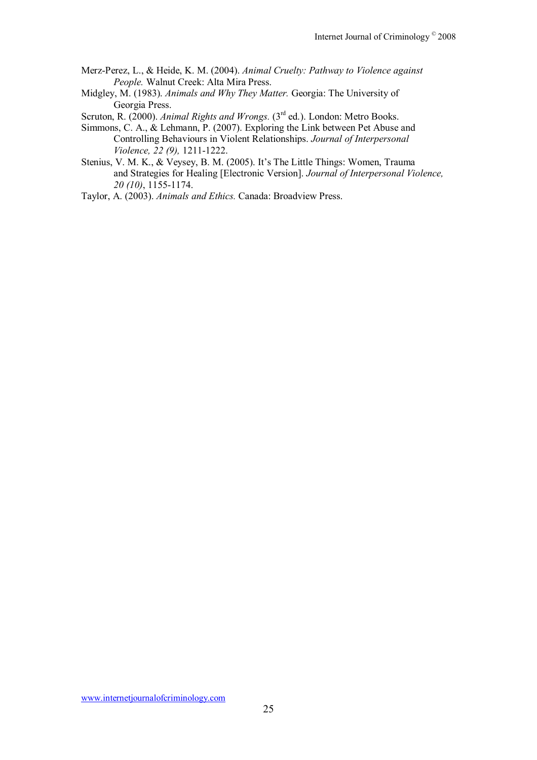- Merz-Perez, L., & Heide, K. M. (2004). *Animal Cruelty: Pathway to Violence against People.* Walnut Creek: Alta Mira Press.
- Midgley, M. (1983). *Animals and Why They Matter.* Georgia: The University of Georgia Press.
- Scruton, R. (2000). *Animal Rights and Wrongs.* (3<sup>rd</sup> ed.). London: Metro Books.
- Simmons, C. A., & Lehmann, P. (2007). Exploring the Link between Pet Abuse and Controlling Behaviours in Violent Relationships. *Journal of Interpersonal Violence, 22 (9),* 1211-1222.
- Stenius, V. M. K., & Veysey, B. M. (2005). It's The Little Things: Women, Trauma and Strategies for Healing [Electronic Version]. *Journal of Interpersonal Violence, 20 (10)*, 1155-1174.
- Taylor, A. (2003). *Animals and Ethics.* Canada: Broadview Press.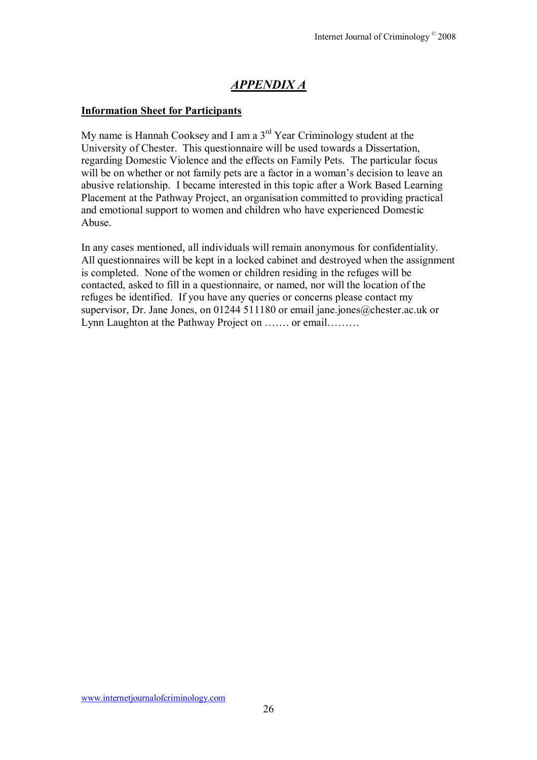# *APPENDIX A*

## **Information Sheet for Participants**

My name is Hannah Cooksey and I am a 3rd Year Criminology student at the University of Chester. This questionnaire will be used towards a Dissertation, regarding Domestic Violence and the effects on Family Pets. The particular focus will be on whether or not family pets are a factor in a woman's decision to leave an abusive relationship. I became interested in this topic after a Work Based Learning Placement at the Pathway Project, an organisation committed to providing practical and emotional support to women and children who have experienced Domestic Abuse.

In any cases mentioned, all individuals will remain anonymous for confidentiality. All questionnaires will be kept in a locked cabinet and destroyed when the assignment is completed. None of the women or children residing in the refuges will be contacted, asked to fill in a questionnaire, or named, nor will the location of the refuges be identified. If you have any queries or concerns please contact my supervisor, Dr. Jane Jones, on 01244 511180 or email jane.jones@chester.ac.uk or Lynn Laughton at the Pathway Project on  $\dots$  or email $\dots$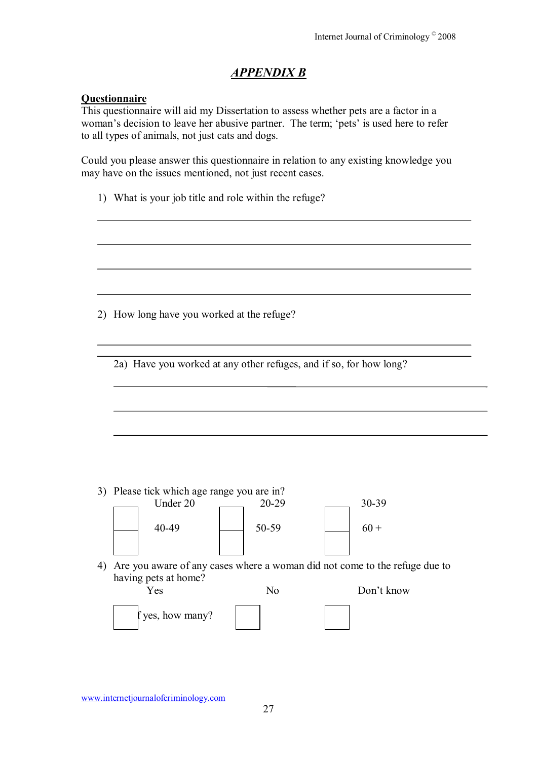## *APPENDIX B*

### **Questionnaire**

This questionnaire will aid my Dissertation to assess whether pets are a factor in a woman's decision to leave her abusive partner. The term; 'pets' is used here to refer to all types of animals, not just cats and dogs.

Could you please answer this questionnaire in relation to any existing knowledge you may have on the issues mentioned, not just recent cases.

1) What is your job title and role within the refuge?

2) How long have you worked at the refuge?

2a) Have you worked at any other refuges, and if so, for how long?

- 3) Please tick which age range you are in? Under 20 20-29 20-29 30-39  $\begin{array}{|c|c|c|c|c|c|c|c|} \hline \quad & 40-49 & & \quad \text{---} & 50-59 & & \quad \text{---} & 60+ \ \hline \end{array}$ 
	- 4) Are you aware of any cases where a woman did not come to the refuge due to having pets at home?

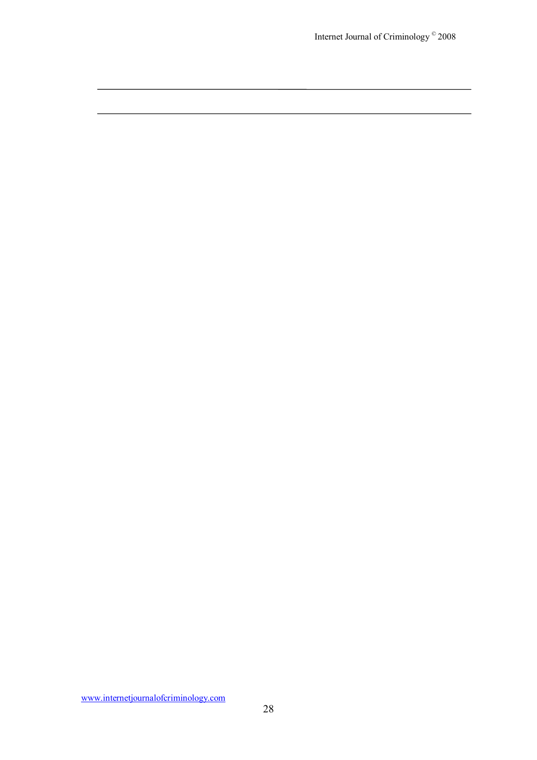Internet Journal of Criminology © 2008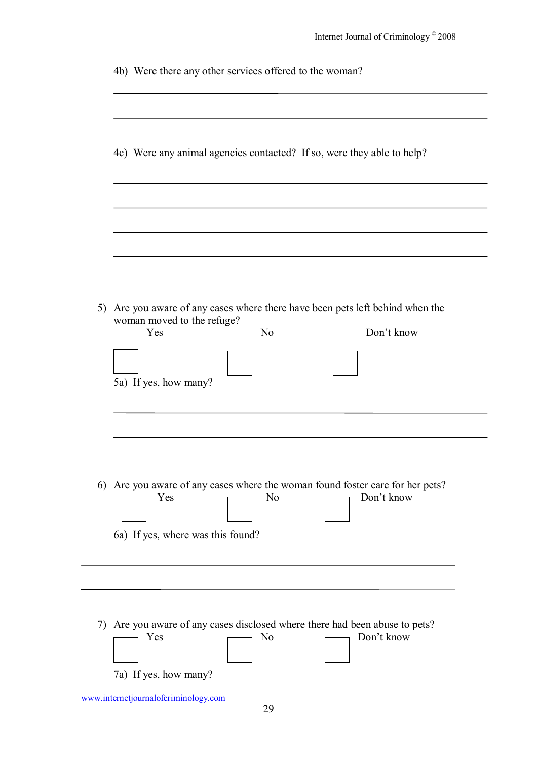| 4b) Were there any other services offered to the woman? |
|---------------------------------------------------------|
|---------------------------------------------------------|

|    | 4c) Were any animal agencies contacted? If so, were they able to help?                                                                                                   |
|----|--------------------------------------------------------------------------------------------------------------------------------------------------------------------------|
|    |                                                                                                                                                                          |
|    |                                                                                                                                                                          |
| 5) | Are you aware of any cases where there have been pets left behind when the<br>woman moved to the refuge?<br>Don't know<br>Yes<br>N <sub>o</sub><br>5a) If yes, how many? |
|    |                                                                                                                                                                          |
|    | 6) Are you aware of any cases where the woman found foster care for her pets?<br>Don't know<br>Yes<br>N <sub>0</sub><br>6a) If yes, where was this found?                |
|    |                                                                                                                                                                          |
| 7) | Are you aware of any cases disclosed where there had been abuse to pets?<br>Yes<br>Don't know<br>N <sub>0</sub>                                                          |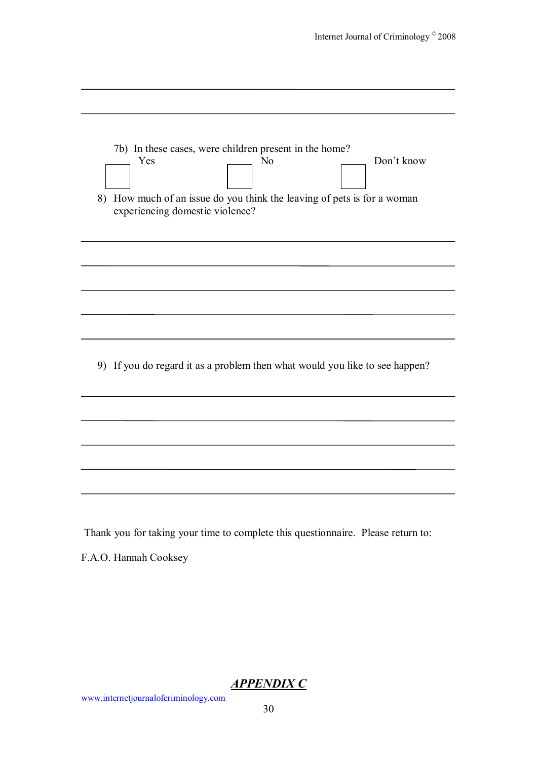| 7b) In these cases, were children present in the home?<br>Yes<br>N <sub>o</sub><br>Don't know              |
|------------------------------------------------------------------------------------------------------------|
| 8) How much of an issue do you think the leaving of pets is for a woman<br>experiencing domestic violence? |
|                                                                                                            |
|                                                                                                            |
|                                                                                                            |
|                                                                                                            |
|                                                                                                            |
| 9) If you do regard it as a problem then what would you like to see happen?                                |
|                                                                                                            |
|                                                                                                            |
|                                                                                                            |
|                                                                                                            |
|                                                                                                            |
| Thank you for taking your time to complete this questionnaire. Please return to:                           |

F.A.O. Hannah Cooksey

# *APPENDIX C*